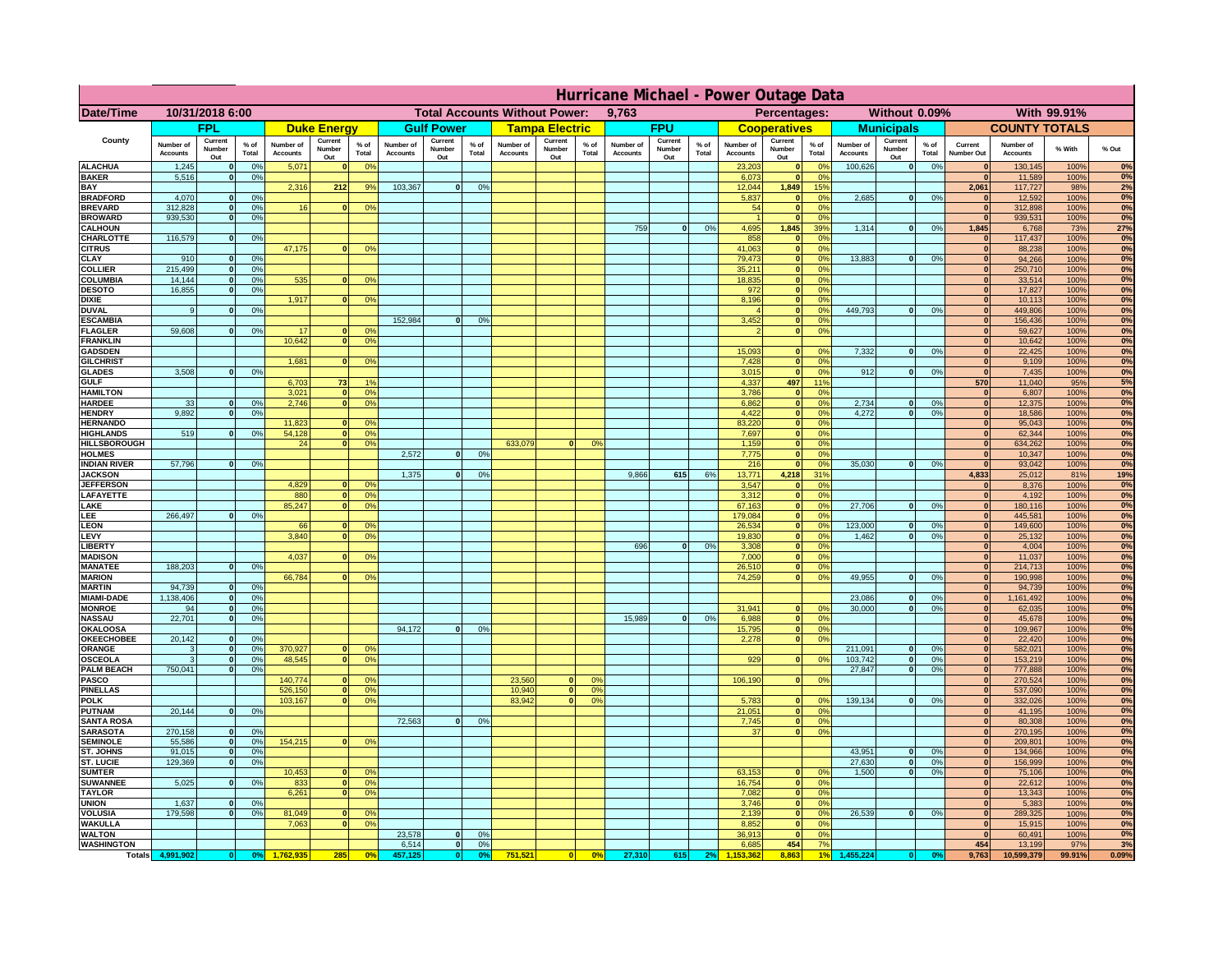|                                         | Hurricane Michael - Power Outage Data |                              |                      |                              |                                 |                                               |                              |                          |                      |                              |                                              |                 |                              |                          |               |                              |                          |                                               |                              |                          |                 |                              |                              |               |             |
|-----------------------------------------|---------------------------------------|------------------------------|----------------------|------------------------------|---------------------------------|-----------------------------------------------|------------------------------|--------------------------|----------------------|------------------------------|----------------------------------------------|-----------------|------------------------------|--------------------------|---------------|------------------------------|--------------------------|-----------------------------------------------|------------------------------|--------------------------|-----------------|------------------------------|------------------------------|---------------|-------------|
| Date/Time                               | 10/31/2018 6:00                       |                              |                      |                              |                                 | <b>Total Accounts Without Power:</b><br>9,763 |                              |                          |                      |                              | With 99.91%<br>Percentages:<br>Without 0.09% |                 |                              |                          |               |                              |                          |                                               |                              |                          |                 |                              |                              |               |             |
|                                         |                                       | <b>FPL</b>                   |                      |                              | <b>Duke Energy</b>              |                                               |                              | <b>Gulf Power</b>        |                      |                              | <b>Tampa Electric</b>                        |                 |                              | <b>FPU</b>               |               |                              | <b>Cooperatives</b>      |                                               |                              | <b>Municipals</b>        |                 |                              | <b>COUNTY TOTALS</b>         |               |             |
| County                                  | Number of<br><b>Accounts</b>          | Current<br>Number<br>Out     | $%$ of<br>Total      | Number of<br><b>Accounts</b> | Current<br><b>Number</b><br>Out | $%$ of<br>Total                               | Number of<br><b>Accounts</b> | Current<br>Number<br>Out | $%$ of<br>Total      | Number of<br><b>Accounts</b> | Current<br>Number<br>Out                     | $%$ of<br>Total | Number of<br><b>Accounts</b> | Current<br>Number<br>Out | % of<br>Total | Number of<br><b>Accounts</b> | Current<br>Number<br>Out | $%$ of<br>Total                               | Number of<br><b>Accounts</b> | Current<br>Number<br>Out | $%$ of<br>Total | Current<br>Number Out        | Number of<br><b>Accounts</b> | % With        | % Out       |
| <b>ALACHUA</b><br><b>BAKER</b>          | 1,245<br>5,516                        | $\mathbf{0}$<br>$\mathbf{0}$ | 0%<br>0%             | 5,071                        |                                 | 0 <sup>9</sup>                                |                              |                          |                      |                              |                                              |                 |                              |                          |               | 23,203<br>6,073              | $\bf{0}$<br>$\bf{0}$     | $^{\circ}$<br>0 <sup>9</sup>                  | 100,626                      | 0                        | 0%              | $\mathbf{0}$<br>$\mathbf{0}$ | 130,145<br>11,589            | 100%<br>100%  | 0%<br>0%    |
| BAY                                     |                                       |                              |                      | 2,316                        | 212                             | 9%                                            | 103,367                      | 0                        | 0%                   |                              |                                              |                 |                              |                          |               | 12,044                       | 1,849                    | 15%                                           |                              |                          |                 | 2,061                        | 117,727                      | 98%           | 2%          |
| <b>BRADFORD</b><br><b>BREVARD</b>       | 4,070<br>312.828                      | $\Omega$<br>$\mathbf{0}$     | 0%<br>0%             | 16                           | $\Omega$                        | 0 <sup>o</sup>                                |                              |                          |                      |                              |                                              |                 |                              |                          |               | 5,837<br>54                  | $\mathbf{0}$<br> 0       | 0 <sup>9</sup><br>0 <sup>9</sup>              | 2,685                        | 0                        | 0%              | $\Omega$<br> 0               | 12,592<br>312,898            | 100%<br>100%  | 0%<br>0%    |
| <b>BROWARD</b>                          | 939.530                               | $\mathbf{0}$                 | 0%                   |                              |                                 |                                               |                              |                          |                      |                              |                                              |                 |                              |                          |               |                              | 0                        | 0%                                            |                              |                          |                 | 0                            | 939,531                      | 100%          | 0%          |
| <b>CALHOUN</b><br>CHARLOTTE             | 116,579                               | $\mathbf{0}$                 | 0%                   |                              |                                 |                                               |                              |                          |                      |                              |                                              |                 | 759                          | 0                        | 0%            | 4,695<br>858                 | 1,845<br> 0              | 39%<br>0%                                     | 1,314                        | 0                        | 0%              | 1,845<br> 0                  | 6,768<br>117,437             | 73%<br>100%   | 27%<br>0%   |
| <b>CITRUS</b>                           |                                       |                              |                      | 47,175                       |                                 | 0 <sup>o</sup>                                |                              |                          |                      |                              |                                              |                 |                              |                          |               | 41.063                       | 0                        | 0 <sup>9</sup>                                |                              |                          |                 | $\mathbf{0}$                 | 88.238                       | 100%          | 0%          |
| CLAY                                    | 910                                   |                              | 0%                   |                              |                                 |                                               |                              |                          |                      |                              |                                              |                 |                              |                          |               | 79,473                       | 0                        | 0%                                            | 13,883                       | 0                        | 0%              | $\mathbf{0}$                 | 94,266                       | 100%          | 0%          |
| <b>COLLIER</b><br>COLUMBIA              | 215,499<br>14,144                     |                              | 0%<br>0%             | 535                          |                                 | 0 <sup>o</sup>                                |                              |                          |                      |                              |                                              |                 |                              |                          |               | 35,211<br>18,835             | 0 <br> 0                 | 0 <sup>9</sup><br>0 <sup>9</sup>              |                              |                          |                 | $\mathbf{0}$<br>$\mathbf{0}$ | 250,710<br>33,514            | 100%<br>100%  | 0%<br>0%    |
| <b>DESOTO</b>                           | 16,855                                |                              | 0%                   |                              |                                 |                                               |                              |                          |                      |                              |                                              |                 |                              |                          |               | 972                          | 0                        | 0 <sup>9</sup>                                |                              |                          |                 | $\mathbf{0}$                 | 17,827                       | 100%          | 0%          |
| <b>DIXIE</b><br><b>DUVAL</b>            | 9                                     |                              | 0 <sup>9</sup>       | 1,917                        |                                 | 0 <sup>o</sup>                                |                              |                          |                      |                              |                                              |                 |                              |                          |               | 8,196                        | 0 <br> 0                 | 0 <sup>9</sup><br>0 <sup>o</sup>              | 449,793                      | 0                        | 0%              | $\mathbf{0}$<br>$\mathbf{0}$ | 10,113<br>449,806            | 100%<br>100%  | 0%<br>0%    |
| <b>ESCAMBIA</b>                         |                                       |                              |                      |                              |                                 |                                               | 152,984                      | $\Omega$                 | 0 <sup>9</sup>       |                              |                                              |                 |                              |                          |               | 3,452                        | $\mathbf{0}$             | 0 <sup>o</sup>                                |                              |                          |                 | $\mathbf{0}$                 | 156,436                      | 100%          | $0\%$       |
| <b>FLAGLER</b><br><b>FRANKLIN</b>       | 59,608                                | $\mathbf{0}$                 | 0 <sup>9</sup>       | 17<br>10,642                 |                                 | 0 <sup>9</sup><br>0 <sup>9</sup>              |                              |                          |                      |                              |                                              |                 |                              |                          |               |                              | 0                        | 0 <sup>9</sup>                                |                              |                          |                 | $\mathbf{0}$<br>$\bf{0}$     | 59,627<br>10,642             | 100%<br>100%  | 0%<br>0%    |
| <b>GADSDEN</b>                          |                                       |                              |                      |                              |                                 |                                               |                              |                          |                      |                              |                                              |                 |                              |                          |               | 15,093                       | $\mathbf{0}$             | 0 <sup>9</sup>                                | 7,332                        | 0                        | 0%              | 0                            | 22,425                       | 100%          | 0%          |
| <b>GILCHRIST</b>                        | 3.508                                 |                              | 0%                   | 1.681                        |                                 | 0 <sup>9</sup>                                |                              |                          |                      |                              |                                              |                 |                              |                          |               | 7,428                        | 0 <br> 0                 | 0 <sup>9</sup><br>0%                          | 912                          |                          |                 | 0 <br> 0                     | 9,109                        | 100%          | 0%<br>0%    |
| <b>GLADES</b><br><b>GULF</b>            |                                       |                              |                      | 6,703                        | 73                              | 1 <sup>°</sup>                                |                              |                          |                      |                              |                                              |                 |                              |                          |               | 3,015<br>4,337               | 497                      | 119                                           |                              | 0                        | 0%              | 570                          | 7,435<br>11,040              | 100%<br>95%   | 5%          |
| <b>HAMILTON</b>                         |                                       |                              |                      | 3,021                        | $\sqrt{2}$                      | 0%                                            |                              |                          |                      |                              |                                              |                 |                              |                          |               | 3,786                        | 0                        | 0%                                            |                              |                          |                 | 0                            | 6,807                        | 100%          | 0%          |
| <b>HARDEE</b><br><b>HENDRY</b>          | 33<br>9.892                           | $\mathbf{0}$<br>$\Omega$     | 0%<br>0 <sup>9</sup> | 2,746                        | $\Omega$                        | 0 <sup>9</sup>                                |                              |                          |                      |                              |                                              |                 |                              |                          |               | 6,862<br>4,422               |                          | 0 <br>0%<br> 0 <br>0%                         | 2,734<br>4.272               | $\mathbf{0}$<br> 0       | 0%<br>0%        | 0 <br> 0                     | 12,375<br>18,586             | 100%<br>100%  | 0%<br>0%    |
| <b>HERNANDO</b>                         |                                       |                              |                      | 11,823                       |                                 | 0 <sup>o</sup>                                |                              |                          |                      |                              |                                              |                 |                              |                          |               | 83,220                       |                          | 0 <br>0 <sup>9</sup>                          |                              |                          |                 | 0                            | 95,043                       | 100%          | 0%          |
| <b>HIGHLANDS</b><br><b>HILLSBOROUGH</b> | 519                                   | $\Omega$                     | 0%                   | 54,128<br>24                 |                                 | 0%<br>0 <sup>9</sup>                          |                              |                          |                      | 633,079                      | $\Omega$                                     | 0 <sup>9</sup>  |                              |                          |               | 7,697<br>1,159               |                          | 0 <br>0 <sup>9</sup><br> 0 <br>0 <sup>9</sup> |                              |                          |                 | 0 <br> 0                     | 62,344<br>634,262            | 100%<br>100%  | 0%<br>0%    |
| <b>HOLMES</b>                           |                                       |                              |                      |                              |                                 |                                               | 2,572                        | $\Omega$                 | 0 <sup>9</sup>       |                              |                                              |                 |                              |                          |               | 7,775                        |                          | 0 <br>0 <sup>9</sup>                          |                              |                          |                 | $\mathbf{0}$                 | 10,347                       | 100%          | 0%          |
| <b>INDIAN RIVER</b>                     | 57,796                                |                              | 0%                   |                              |                                 |                                               |                              | $\Omega$                 |                      |                              |                                              |                 | 9,866                        | 615                      | 6%            | 216                          | 0                        | 0 <sup>9</sup>                                | 35,030                       | $\mathbf{0}$             | 0%              | $\mathbf{0}$                 | 93,042                       | 100%<br>81%   | 0%<br>19%   |
| <b>JACKSON</b><br><b>JEFFERSON</b>      |                                       |                              |                      | 4.829                        |                                 | 0 <sup>9</sup>                                | 1,375                        |                          | 0 <sup>9</sup>       |                              |                                              |                 |                              |                          |               | 13,771<br>3.547              | 4,218<br>$\mathbf{0}$    | 31%<br>0%                                     |                              |                          |                 | 4,833<br>$\mathbf{0}$        | 25,012<br>8,376              | 100%          | 0%          |
| LAFAYETTE                               |                                       |                              |                      | 880                          | n.                              | 0 <sup>9</sup>                                |                              |                          |                      |                              |                                              |                 |                              |                          |               | 3.312                        |                          | $\mathbf{0}$<br>0%                            |                              |                          |                 | 0                            | 4.192                        | 100%          | 0%          |
| LAKE<br>LEE                             | 266,497                               |                              | 0%                   | 85,247                       |                                 | 0%                                            |                              |                          |                      |                              |                                              |                 |                              |                          |               | 67,163<br>179,084            |                          | 0 <br>0%<br>0%<br> 0                          | 27,706                       | $\mathbf{0}$             | 0%              | 0 <br> 0                     | 180,116<br>445,581           | 100%<br>100%  | 0%<br>0%    |
| <b>LEON</b>                             |                                       |                              |                      | 66                           |                                 | 0 <sup>9</sup>                                |                              |                          |                      |                              |                                              |                 |                              |                          |               | 26,534                       |                          | 0 <br>0%                                      | 123,000                      | $\mathbf{0}$             | 0%              | 0                            | 149,600                      | 100%          | 0%          |
| LEVY<br><b>LIBERT</b>                   |                                       |                              |                      | 3,840                        |                                 | 0 <sup>9</sup>                                |                              |                          |                      |                              |                                              |                 | 696                          | $\Omega$                 | 0%            | 19,830<br>3,308              |                          | 0%<br> 0 <br>0%<br> 0                         | 1,462                        | $\mathbf{0}$             | 0%              | 0 <br> 0                     | 25,132<br>4,004              | 100%<br>100%  | 0%<br>0%    |
| <b>MADISON</b>                          |                                       |                              |                      | 4,037                        |                                 | 0 <sup>o</sup>                                |                              |                          |                      |                              |                                              |                 |                              |                          |               | 7,000                        |                          | 0%<br> 0                                      |                              |                          |                 | 0                            | 11,037                       | 100%          | 0%          |
| <b>MANATEE</b><br><b>MARION</b>         | 188,203                               | $\mathbf{0}$                 | 0 <sup>9</sup>       | 66,784                       |                                 | 0 <sup>9</sup>                                |                              |                          |                      |                              |                                              |                 |                              |                          |               | 26,510<br>74,259             |                          | 0%<br> 0 <br> 0 <br>0%                        | 49,955                       | 0                        | 0%              | 0 <br>$\mathbf{0}$           | 214,713<br>190,998           | 100%<br>100%  | 0%<br>0%    |
| <b>MARTIN</b>                           | 94,739                                | $\mathbf{0}$                 | 0%                   |                              |                                 |                                               |                              |                          |                      |                              |                                              |                 |                              |                          |               |                              |                          |                                               |                              |                          |                 | 0                            | 94,739                       | 100%          | 0%          |
| <b>MIAMI-DADE</b>                       | 1,138,406                             | 0 <br>-ol                    | 0%                   |                              |                                 |                                               |                              |                          |                      |                              |                                              |                 |                              |                          |               |                              | $\mathbf{0}$             | 0 <sup>9</sup>                                | 23,086                       | 0 <br> 0                 | 0%              | 0 <br>$\mathbf{0}$           | 1,161,492                    | 100%          | 0%<br>0%    |
| <b>MONROE</b><br><b>NASSAU</b>          | 94<br>22,701                          | 0                            | 0%<br>0%             |                              |                                 |                                               |                              |                          |                      |                              |                                              |                 | 15,989                       | 0                        | 0%            | 31,941<br>6,988              |                          | 0 <br>0%                                      | 30,000                       |                          | 0%              | 0                            | 62,035<br>45,678             | 100%<br>100%  | 0%          |
| <b>OKALOOSA</b>                         |                                       |                              |                      |                              |                                 |                                               | 94,172                       | 0                        | 0%                   |                              |                                              |                 |                              |                          |               | 15,795                       |                          | 0%<br> 0                                      |                              |                          |                 | 0                            | 109,967                      | 100%          | 0%          |
| <b>OKEECHOBEE</b><br>ORANGE             | 20,142<br>3                           | 0<br> 0                      | 0%<br>0%             | 370,927                      |                                 | 0 <sup>9</sup>                                |                              |                          |                      |                              |                                              |                 |                              |                          |               | 2,278                        |                          | 0%<br> 0                                      | 211,091                      | 0                        | 0%              | 0 <br> 0                     | 22,420<br>582,021            | 100%<br>100%  | 0%<br>0%    |
| <b>OSCEOLA</b>                          | 3                                     | 0                            | 0%                   | 48,545                       | $\bullet$                       | 0%                                            |                              |                          |                      |                              |                                              |                 |                              |                          |               | 929                          |                          | 0 <br>0%                                      | 103,742                      | 0                        | 0%              | 0                            | 153,219                      | 100%          | 0%          |
| <b>PALM BEACH</b><br><b>PASCO</b>       | 750,041                               | 0                            | 0%                   | 140,774                      |                                 | 0 <sup>9</sup>                                |                              |                          |                      | 23,560                       | $\mathbf{0}$                                 | O <sup>o</sup>  |                              |                          |               | 106,190                      |                          | 0%<br> 0                                      | 27,847                       | 0                        | 0%              | 0 <br> 0                     | 777,888<br>270,524           | 100%<br>100%  | 0%<br>0%    |
| <b>PINELLAS</b>                         |                                       |                              |                      | 526,150                      | $\mathbf{0}$                    | 0%                                            |                              |                          |                      | 10,940                       | 0                                            | 0 <sup>9</sup>  |                              |                          |               |                              |                          |                                               |                              |                          |                 | 0                            | 537,090                      | 100%          | 0%          |
| <b>POLK</b><br><b>PUTNAM</b>            | 20,144                                | 0                            | 0%                   | 103,167                      | $\Omega$                        | 0 <sup>9</sup>                                |                              |                          |                      | 83,942                       | 0                                            | 0 <sup>o</sup>  |                              |                          |               | 5,783<br>21,051              |                          | 0 <br>$^{\circ}$<br>0 <sup>9</sup>            | 139,134                      | 0                        | 0%              | 0                            | 332,026                      | 100%<br>100%  | 0%<br>0%    |
| <b>SANTA ROSA</b>                       |                                       |                              |                      |                              |                                 |                                               | 72,563                       | 0                        | 0%                   |                              |                                              |                 |                              |                          |               | 7,745                        |                          | 0 <br>0 <sup>9</sup><br> 0                    |                              |                          |                 | 0 <br>$\Omega$               | 41,195<br>80,308             | 100%          | 0%          |
| <b>SARASOTA</b>                         | 270,158                               | 0                            | 0 <sup>9</sup>       |                              |                                 |                                               |                              |                          |                      |                              |                                              |                 |                              |                          |               | 37                           |                          | 0%<br> 0                                      |                              |                          |                 | $\mathbf{0}$                 | 270,195                      | 100%          | 0%<br>0%    |
| <b>SEMINOLE</b><br>ST. JOHNS            | 55,586<br>91,015                      | 0 <br> 0                     | 0 <sup>9</sup><br>0% | 154,215                      | $\mathbf{0}$                    | 0 <sup>9</sup>                                |                              |                          |                      |                              |                                              |                 |                              |                          |               |                              |                          |                                               | 43,951                       | 0                        | 0%              | 0 <br>$\mathbf{0}$           | 209,801<br>134,966           | 100%<br>100%  | 0%          |
| ST. LUCIE                               | 129,369                               | $\mathbf{0}$                 | 0%                   |                              |                                 |                                               |                              |                          |                      |                              |                                              |                 |                              |                          |               |                              |                          |                                               | 27,630                       | 0                        | 0%              | $\mathbf{0}$                 | 156,999                      | 100%          | 0%          |
| <b>SUMTER</b><br><b>SUWANNEE</b>        | 5,025                                 | $\Omega$                     | 0%                   | 10,453<br>833                | $\mathbf{0}$                    | 0 <sup>9</sup><br>0 <sup>9</sup>              |                              |                          |                      |                              |                                              |                 |                              |                          |               | 63,153<br>16,754             |                          | 0 <sup>9</sup><br>$\mathbf{0}$<br> 0 <br>0%   | 1.500                        | 0                        | 0%              | 0 <br>$\mathbf{0}$           | 75,106<br>22,612             | 100%<br>100%  | 0%<br>0%    |
| <b>TAYLOR</b>                           |                                       |                              |                      | 6,261                        |                                 | 0%                                            |                              |                          |                      |                              |                                              |                 |                              |                          |               | 7,082                        | 0                        | 0%                                            |                              |                          |                 | 0                            | 13,343                       | 100%          | 0%          |
| <b>UNION</b><br><b>VOLUSIA</b>          | 1.637<br>179.598                      | $\mathbf{0}$<br>$\mathbf{0}$ | 0%<br>0%             | 81,049                       |                                 | 0 <sup>9</sup>                                |                              |                          |                      |                              |                                              |                 |                              |                          |               | 3.746<br>2.139               |                          | 0%<br> 0 <br> 0 <br>0%                        | 26.539                       | 0                        | 0%              | $\mathbf{0}$<br>$\mathbf{0}$ | 5,383<br>289,325             | 100%<br>100%  | $0\%$<br>0% |
| <b>WAKULLA</b>                          |                                       |                              |                      | 7,063                        |                                 | 0 <sup>o</sup>                                |                              |                          |                      |                              |                                              |                 |                              |                          |               | 8,852                        | 0                        | 0%                                            |                              |                          |                 | $\mathbf{0}$                 | 15,915                       | 100%          | 0%          |
| <b>WALTON</b>                           |                                       |                              |                      |                              |                                 |                                               | 23,578                       | 0                        | 0 <sup>9</sup>       |                              |                                              |                 |                              |                          |               | 36,913                       | 0                        | 0%                                            |                              |                          |                 | 0                            | 60,491                       | 100%          | 0%          |
| <b>WASHINGTON</b><br><b>Totals</b>      | 4,991,902                             | 0                            | 0 <sup>o</sup>       |                              | 285                             | 0 <sup>5</sup>                                | 6,514<br>457,125             | 0 <br> 0                 | 0%<br>0 <sup>9</sup> | 751,521                      | 0                                            | 0%              | 27,310                       | 615                      | 2%            | 6,685                        | 454<br>8,863             | 7%                                            | 1,455,224                    |                          |                 | 454<br>9,763                 | 13,199<br>10,599,379         | 97%<br>99.91% | 3%<br>0.09% |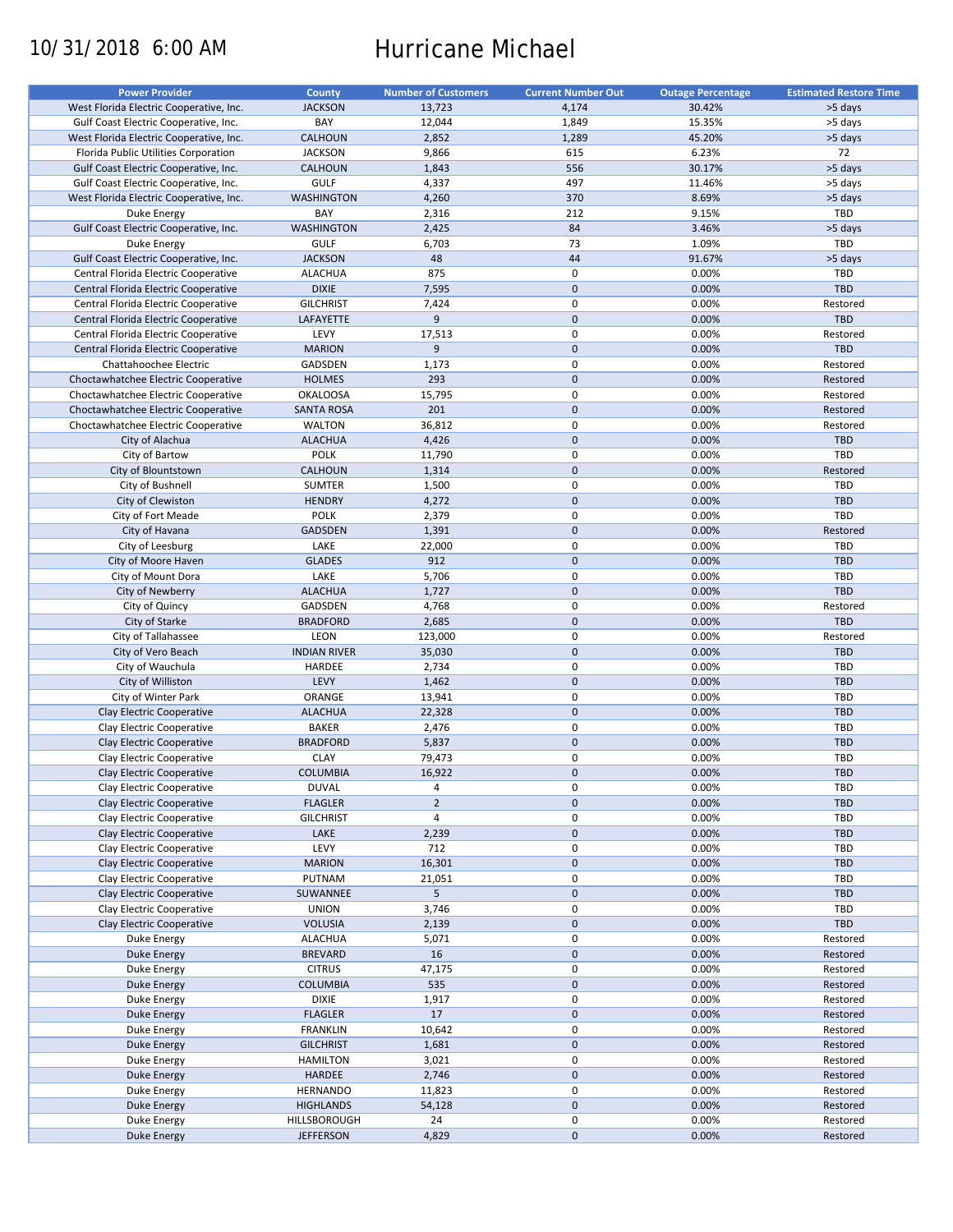# 10/31/2018 6:00 AM Hurricane Michael

| <b>Power Provider</b>                   | County              | <b>Number of Customers</b> | <b>Current Number Out</b> | <b>Outage Percentage</b> | <b>Estimated Restore Time</b> |
|-----------------------------------------|---------------------|----------------------------|---------------------------|--------------------------|-------------------------------|
| West Florida Electric Cooperative, Inc. | <b>JACKSON</b>      | 13,723                     | 4,174                     | 30.42%                   | >5 days                       |
| Gulf Coast Electric Cooperative, Inc.   | BAY                 | 12,044                     | 1,849                     | 15.35%                   | >5 days                       |
| West Florida Electric Cooperative, Inc. | <b>CALHOUN</b>      | 2,852                      | 1,289                     | 45.20%                   | >5 days                       |
| Florida Public Utilities Corporation    | <b>JACKSON</b>      | 9,866                      | 615                       | 6.23%                    | 72                            |
| Gulf Coast Electric Cooperative, Inc.   | <b>CALHOUN</b>      | 1,843                      | 556                       | 30.17%                   | >5 days                       |
| Gulf Coast Electric Cooperative, Inc.   | <b>GULF</b>         | 4,337                      | 497                       | 11.46%                   | >5 days                       |
| West Florida Electric Cooperative, Inc. | <b>WASHINGTON</b>   | 4,260                      | 370                       | 8.69%                    | >5 days                       |
| Duke Energy                             | BAY                 | 2,316                      | 212                       | 9.15%                    | TBD                           |
| Gulf Coast Electric Cooperative, Inc.   | <b>WASHINGTON</b>   | 2,425                      | 84                        | 3.46%                    | >5 days                       |
| Duke Energy                             | <b>GULF</b>         | 6,703                      | 73                        | 1.09%                    | TBD                           |
| Gulf Coast Electric Cooperative, Inc.   | <b>JACKSON</b>      | 48                         | 44                        | 91.67%                   | >5 days                       |
| Central Florida Electric Cooperative    | <b>ALACHUA</b>      | 875                        | 0                         | 0.00%                    | <b>TBD</b>                    |
| Central Florida Electric Cooperative    | <b>DIXIE</b>        | 7,595                      | $\mathbf 0$               | 0.00%                    | TBD                           |
| Central Florida Electric Cooperative    | <b>GILCHRIST</b>    | 7,424                      | 0                         | 0.00%                    | Restored                      |
| Central Florida Electric Cooperative    | LAFAYETTE           | 9                          | $\mathbf 0$               | 0.00%                    | <b>TBD</b>                    |
|                                         | LEVY                |                            | $\pmb{0}$                 | 0.00%                    | Restored                      |
| Central Florida Electric Cooperative    |                     | 17,513<br>$\overline{9}$   | $\mathbf 0$               |                          | TBD                           |
| Central Florida Electric Cooperative    | <b>MARION</b>       |                            |                           | 0.00%                    |                               |
| Chattahoochee Electric                  | GADSDEN             | 1,173                      | $\pmb{0}$                 | 0.00%                    | Restored                      |
| Choctawhatchee Electric Cooperative     | <b>HOLMES</b>       | 293                        | $\mathbf 0$               | 0.00%                    | Restored                      |
| Choctawhatchee Electric Cooperative     | <b>OKALOOSA</b>     | 15,795                     | $\mathbf 0$               | 0.00%                    | Restored                      |
| Choctawhatchee Electric Cooperative     | <b>SANTA ROSA</b>   | 201                        | $\mathbf 0$               | 0.00%                    | Restored                      |
| Choctawhatchee Electric Cooperative     | <b>WALTON</b>       | 36,812                     | $\pmb{0}$                 | 0.00%                    | Restored                      |
| City of Alachua                         | <b>ALACHUA</b>      | 4,426                      | $\mathbf 0$               | 0.00%                    | <b>TBD</b>                    |
| City of Bartow                          | <b>POLK</b>         | 11,790                     | $\mathbf 0$               | 0.00%                    | TBD                           |
| City of Blountstown                     | <b>CALHOUN</b>      | 1,314                      | $\mathbf 0$               | 0.00%                    | Restored                      |
| City of Bushnell                        | <b>SUMTER</b>       | 1,500                      | $\pmb{0}$                 | 0.00%                    | TBD                           |
| City of Clewiston                       | <b>HENDRY</b>       | 4,272                      | $\mathbf 0$               | 0.00%                    | <b>TBD</b>                    |
| City of Fort Meade                      | <b>POLK</b>         | 2,379                      | $\mathbf 0$               | 0.00%                    | TBD                           |
| City of Havana                          | <b>GADSDEN</b>      | 1,391                      | $\mathbf 0$               | 0.00%                    | Restored                      |
| City of Leesburg                        | LAKE                | 22,000                     | $\pmb{0}$                 | 0.00%                    | TBD                           |
| City of Moore Haven                     | <b>GLADES</b>       | 912                        | $\mathbf 0$               | 0.00%                    | <b>TBD</b>                    |
| City of Mount Dora                      | LAKE                | 5,706                      | $\mathbf 0$               | 0.00%                    | TBD                           |
| City of Newberry                        | <b>ALACHUA</b>      | 1,727                      | $\mathbf 0$               | 0.00%                    | TBD                           |
| City of Quincy                          | GADSDEN             | 4,768                      | $\pmb{0}$                 | 0.00%                    | Restored                      |
| City of Starke                          | <b>BRADFORD</b>     | 2,685                      | $\mathbf 0$               | 0.00%                    | TBD                           |
| City of Tallahassee                     | LEON                | 123,000                    | $\mathbf 0$               | 0.00%                    | Restored                      |
| City of Vero Beach                      | <b>INDIAN RIVER</b> | 35,030                     | $\mathbf 0$               | 0.00%                    | TBD                           |
| City of Wauchula                        | HARDEE              | 2,734                      | $\pmb{0}$                 | 0.00%                    | <b>TBD</b>                    |
| City of Williston                       | LEVY                | 1,462                      | $\mathbf 0$               | 0.00%                    | TBD                           |
| City of Winter Park                     | ORANGE              | 13,941                     | $\mathbf 0$               | 0.00%                    | TBD                           |
| Clay Electric Cooperative               | <b>ALACHUA</b>      | 22,328                     | $\mathbf 0$               | 0.00%                    | <b>TBD</b>                    |
| Clay Electric Cooperative               | <b>BAKER</b>        | 2,476                      | 0                         | 0.00%                    | <b>TBD</b>                    |
| Clay Electric Cooperative               | <b>BRADFORD</b>     | 5,837                      | $\mathbf 0$               | 0.00%                    | <b>TBD</b>                    |
| Clay Electric Cooperative               | <b>CLAY</b>         | 79,473                     | 0                         | 0.00%                    | <b>TBD</b>                    |
| Clay Electric Cooperative               | <b>COLUMBIA</b>     | 16,922                     | $\mathbf{0}$              | 0.00%                    | <b>TBD</b>                    |
| Clay Electric Cooperative               | <b>DUVAL</b>        | 4                          | 0                         | 0.00%                    | <b>TBD</b>                    |
| Clay Electric Cooperative               | <b>FLAGLER</b>      | $\mathbf 2$                | $\pmb{0}$                 | 0.00%                    | <b>TBD</b>                    |
| Clay Electric Cooperative               | <b>GILCHRIST</b>    | 4                          | 0                         | 0.00%                    | <b>TBD</b>                    |
| Clay Electric Cooperative               |                     |                            | $\pmb{0}$                 | 0.00%                    |                               |
|                                         | LAKE                | 2,239                      |                           |                          | TBD                           |
| Clay Electric Cooperative               | LEVY                | 712                        | $\pmb{0}$                 | 0.00%                    | <b>TBD</b>                    |
| Clay Electric Cooperative               | <b>MARION</b>       | 16,301                     | $\pmb{0}$                 | 0.00%                    | TBD                           |
| Clay Electric Cooperative               | PUTNAM              | 21,051                     | 0                         | 0.00%                    | <b>TBD</b>                    |
| Clay Electric Cooperative               | SUWANNEE            | 5                          | $\pmb{0}$                 | 0.00%                    | <b>TBD</b>                    |
| Clay Electric Cooperative               | <b>UNION</b>        | 3,746                      | $\pmb{0}$                 | 0.00%                    | <b>TBD</b>                    |
| Clay Electric Cooperative               | <b>VOLUSIA</b>      | 2,139                      | $\pmb{0}$                 | 0.00%                    | TBD                           |
| Duke Energy                             | <b>ALACHUA</b>      | 5,071                      | 0                         | 0.00%                    | Restored                      |
| <b>Duke Energy</b>                      | <b>BREVARD</b>      | 16                         | $\pmb{0}$                 | 0.00%                    | Restored                      |
| Duke Energy                             | <b>CITRUS</b>       | 47,175                     | $\pmb{0}$                 | 0.00%                    | Restored                      |
| Duke Energy                             | COLUMBIA            | 535                        | $\pmb{0}$                 | 0.00%                    | Restored                      |
| Duke Energy                             | <b>DIXIE</b>        | 1,917                      | 0                         | 0.00%                    | Restored                      |
| Duke Energy                             | <b>FLAGLER</b>      | 17                         | $\pmb{0}$                 | 0.00%                    | Restored                      |
| Duke Energy                             | <b>FRANKLIN</b>     | 10,642                     | $\pmb{0}$                 | 0.00%                    | Restored                      |
| Duke Energy                             | <b>GILCHRIST</b>    | 1,681                      | $\pmb{0}$                 | 0.00%                    | Restored                      |
| Duke Energy                             | <b>HAMILTON</b>     | 3,021                      | 0                         | 0.00%                    | Restored                      |
| <b>Duke Energy</b>                      | HARDEE              | 2,746                      | $\pmb{0}$                 | 0.00%                    | Restored                      |
| Duke Energy                             | HERNANDO            | 11,823                     | $\pmb{0}$                 | 0.00%                    | Restored                      |
| <b>Duke Energy</b>                      | <b>HIGHLANDS</b>    | 54,128                     | $\pmb{0}$                 | 0.00%                    | Restored                      |
| Duke Energy                             | HILLSBOROUGH        | 24                         | 0                         | 0.00%                    | Restored                      |
| Duke Energy                             | <b>JEFFERSON</b>    | 4,829                      | $\pmb{0}$                 | 0.00%                    | Restored                      |
|                                         |                     |                            |                           |                          |                               |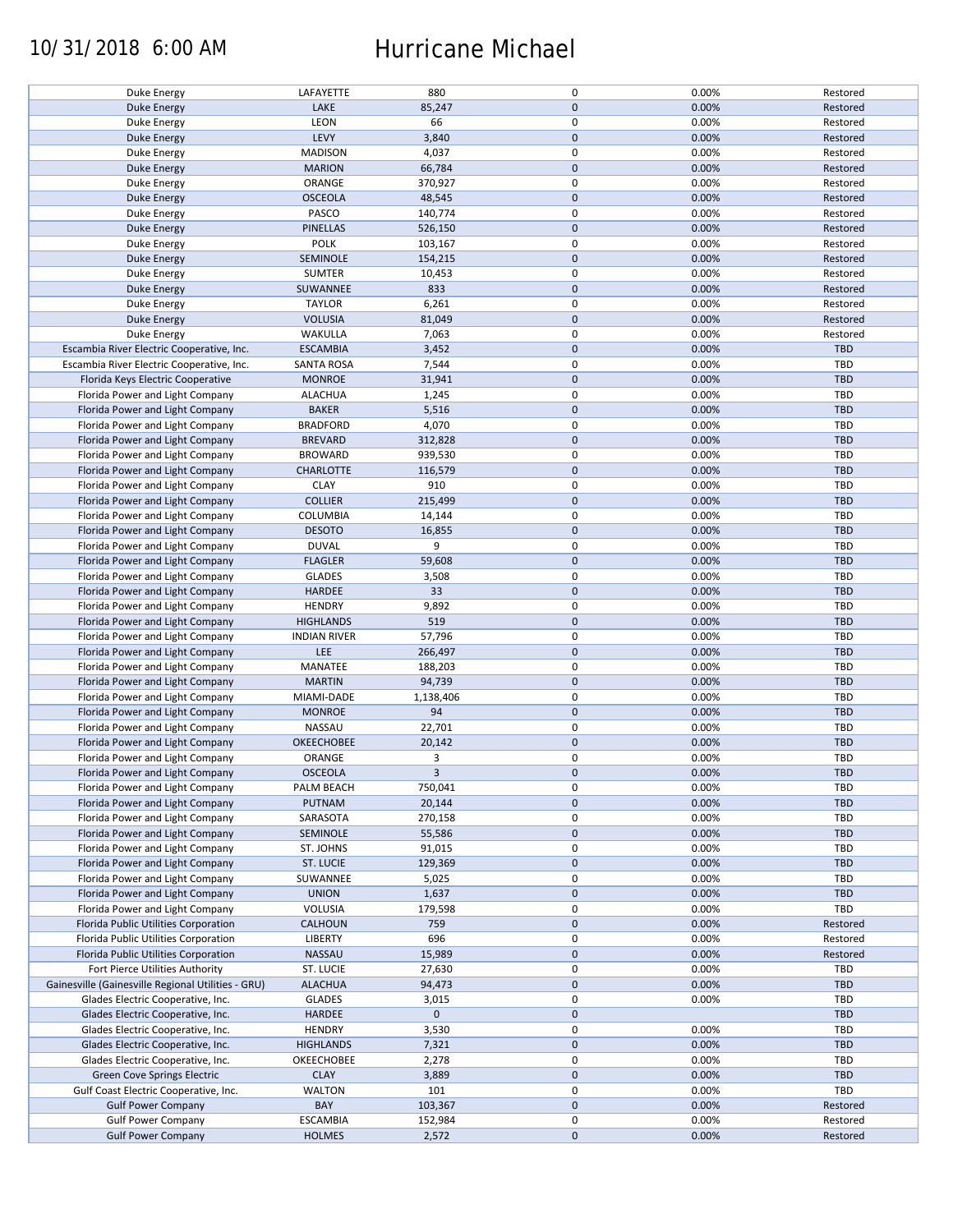### 10/31/2018 6:00 AM Hurricane Michael

| Duke Energy                                        | LAFAYETTE           | 880         | 0            | 0.00% | Restored   |
|----------------------------------------------------|---------------------|-------------|--------------|-------|------------|
|                                                    | LAKE                | 85,247      | $\mathbf{0}$ | 0.00% | Restored   |
| Duke Energy                                        |                     |             |              |       |            |
| Duke Energy                                        | LEON                | 66          | $\mathbf 0$  | 0.00% | Restored   |
| Duke Energy                                        | LEVY                | 3,840       | $\mathbf 0$  | 0.00% | Restored   |
| Duke Energy                                        | <b>MADISON</b>      | 4,037       | $\mathsf 0$  | 0.00% | Restored   |
| Duke Energy                                        | <b>MARION</b>       | 66,784      | $\mathbf 0$  | 0.00% | Restored   |
| Duke Energy                                        | ORANGE              | 370,927     | $\mathsf 0$  | 0.00% | Restored   |
| Duke Energy                                        | <b>OSCEOLA</b>      | 48,545      | $\mathbf 0$  | 0.00% | Restored   |
| Duke Energy                                        | PASCO               | 140,774     | $\mathsf 0$  | 0.00% | Restored   |
| Duke Energy                                        | <b>PINELLAS</b>     | 526,150     | $\mathbf 0$  | 0.00% | Restored   |
| Duke Energy                                        | <b>POLK</b>         | 103,167     | $\pmb{0}$    | 0.00% | Restored   |
| Duke Energy                                        | SEMINOLE            | 154,215     | $\mathbf 0$  | 0.00% | Restored   |
| Duke Energy                                        | <b>SUMTER</b>       | 10,453      | $\pmb{0}$    | 0.00% | Restored   |
| <b>Duke Energy</b>                                 | SUWANNEE            | 833         | $\mathbf 0$  | 0.00% | Restored   |
| Duke Energy                                        | <b>TAYLOR</b>       | 6,261       | $\mathbf 0$  | 0.00% | Restored   |
|                                                    | <b>VOLUSIA</b>      | 81,049      | $\mathbf 0$  | 0.00% | Restored   |
| Duke Energy                                        |                     |             |              |       |            |
| Duke Energy                                        | WAKULLA             | 7,063       | $\mathsf 0$  | 0.00% | Restored   |
| Escambia River Electric Cooperative, Inc.          | <b>ESCAMBIA</b>     | 3,452       | $\mathbf 0$  | 0.00% | <b>TBD</b> |
| Escambia River Electric Cooperative, Inc.          | <b>SANTA ROSA</b>   | 7,544       | $\mathsf 0$  | 0.00% | <b>TBD</b> |
| Florida Keys Electric Cooperative                  | <b>MONROE</b>       | 31,941      | $\mathbf 0$  | 0.00% | <b>TBD</b> |
| Florida Power and Light Company                    | <b>ALACHUA</b>      | 1,245       | $\mathsf 0$  | 0.00% | <b>TBD</b> |
| Florida Power and Light Company                    | <b>BAKER</b>        | 5,516       | $\mathbf 0$  | 0.00% | <b>TBD</b> |
| Florida Power and Light Company                    | <b>BRADFORD</b>     | 4,070       | $\pmb{0}$    | 0.00% | TBD        |
| Florida Power and Light Company                    | <b>BREVARD</b>      | 312,828     | $\mathbf 0$  | 0.00% | <b>TBD</b> |
| Florida Power and Light Company                    | <b>BROWARD</b>      | 939,530     | $\mathsf 0$  | 0.00% | TBD        |
| Florida Power and Light Company                    | <b>CHARLOTTE</b>    | 116,579     | $\mathbf 0$  | 0.00% | <b>TBD</b> |
| Florida Power and Light Company                    | <b>CLAY</b>         | 910         | $\pmb{0}$    | 0.00% | TBD        |
| Florida Power and Light Company                    | <b>COLLIER</b>      | 215,499     | $\mathbf 0$  | 0.00% | <b>TBD</b> |
|                                                    |                     |             | $\mathsf 0$  | 0.00% | <b>TBD</b> |
| Florida Power and Light Company                    | COLUMBIA            | 14,144      |              |       |            |
| Florida Power and Light Company                    | <b>DESOTO</b>       | 16,855      | $\pmb{0}$    | 0.00% | TBD        |
| Florida Power and Light Company                    | <b>DUVAL</b>        | 9           | $\mathsf 0$  | 0.00% | TBD        |
| Florida Power and Light Company                    | <b>FLAGLER</b>      | 59,608      | $\mathbf 0$  | 0.00% | <b>TBD</b> |
| Florida Power and Light Company                    | <b>GLADES</b>       | 3,508       | $\mathsf 0$  | 0.00% | TBD        |
| Florida Power and Light Company                    | <b>HARDEE</b>       | 33          | $\mathbf 0$  | 0.00% | <b>TBD</b> |
| Florida Power and Light Company                    | <b>HENDRY</b>       | 9,892       | $\pmb{0}$    | 0.00% | TBD        |
| Florida Power and Light Company                    | <b>HIGHLANDS</b>    | 519         | $\mathbf 0$  | 0.00% | <b>TBD</b> |
| Florida Power and Light Company                    | <b>INDIAN RIVER</b> | 57,796      | $\mathsf 0$  | 0.00% | TBD        |
| Florida Power and Light Company                    | LEE                 | 266,497     | $\pmb{0}$    | 0.00% | TBD        |
| Florida Power and Light Company                    | MANATEE             | 188,203     | $\mathsf 0$  | 0.00% | TBD        |
| Florida Power and Light Company                    | <b>MARTIN</b>       | 94,739      | $\mathbf 0$  | 0.00% | TBD        |
| Florida Power and Light Company                    | MIAMI-DADE          | 1,138,406   | $\mathbf 0$  | 0.00% | TBD        |
| Florida Power and Light Company                    | <b>MONROE</b>       | 94          | $\mathbf 0$  | 0.00% | <b>TBD</b> |
|                                                    |                     |             | $\pmb{0}$    |       |            |
| Florida Power and Light Company                    | NASSAU              | 22,701      |              | 0.00% | <b>TBD</b> |
| Florida Power and Light Company                    | <b>OKEECHOBEE</b>   | 20,142      | $\mathbf 0$  | 0.00% | TBD        |
| Florida Power and Light Company                    | ORANGE              | 3           | $\mathsf 0$  | 0.00% | <b>TBD</b> |
| Florida Power and Light Company                    | <b>OSCEOLA</b>      | 3           | $\mathbf{0}$ | 0.00% | TBD        |
| Florida Power and Light Company                    | PALM BEACH          | 750,041     | 0            | 0.00% | TBD        |
| Florida Power and Light Company                    | PUTNAM              | 20,144      | $\mathbf 0$  | 0.00% | TBD        |
| Florida Power and Light Company                    | SARASOTA            | 270,158     | $\mathsf 0$  | 0.00% | TBD        |
| Florida Power and Light Company                    | SEMINOLE            | 55,586      | $\mathbf 0$  | 0.00% | <b>TBD</b> |
| Florida Power and Light Company                    | ST. JOHNS           | 91,015      | 0            | 0.00% | TBD        |
| Florida Power and Light Company                    | <b>ST. LUCIE</b>    | 129,369     | $\mathbf 0$  | 0.00% | TBD        |
| Florida Power and Light Company                    | SUWANNEE            | 5,025       | 0            | 0.00% | TBD        |
| Florida Power and Light Company                    | <b>UNION</b>        | 1,637       | $\mathbf 0$  | 0.00% | TBD        |
| Florida Power and Light Company                    | VOLUSIA             | 179,598     | $\mathsf 0$  | 0.00% | TBD        |
| Florida Public Utilities Corporation               | <b>CALHOUN</b>      | 759         | $\mathbf 0$  | 0.00% | Restored   |
|                                                    |                     |             |              |       |            |
| Florida Public Utilities Corporation               | LIBERTY             | 696         | 0            | 0.00% | Restored   |
| Florida Public Utilities Corporation               | NASSAU              | 15,989      | $\mathbf 0$  | 0.00% | Restored   |
| Fort Pierce Utilities Authority                    | ST. LUCIE           | 27,630      | 0            | 0.00% | TBD        |
| Gainesville (Gainesville Regional Utilities - GRU) | <b>ALACHUA</b>      | 94,473      | $\mathbf 0$  | 0.00% | TBD        |
| Glades Electric Cooperative, Inc.                  | <b>GLADES</b>       | 3,015       | 0            | 0.00% | TBD        |
| Glades Electric Cooperative, Inc.                  | <b>HARDEE</b>       | $\mathbf 0$ | $\mathbf 0$  |       | TBD        |
| Glades Electric Cooperative, Inc.                  | <b>HENDRY</b>       | 3,530       | $\mathsf 0$  | 0.00% | TBD        |
| Glades Electric Cooperative, Inc.                  | <b>HIGHLANDS</b>    | 7,321       | $\pmb{0}$    | 0.00% | TBD        |
| Glades Electric Cooperative, Inc.                  | OKEECHOBEE          | 2,278       | 0            | 0.00% | TBD        |
| Green Cove Springs Electric                        | <b>CLAY</b>         | 3,889       | $\mathbf 0$  | 0.00% | TBD        |
| Gulf Coast Electric Cooperative, Inc.              | WALTON              | 101         | 0            | 0.00% | TBD        |
| <b>Gulf Power Company</b>                          | BAY                 | 103,367     | $\mathbf 0$  | 0.00% | Restored   |
| <b>Gulf Power Company</b>                          | <b>ESCAMBIA</b>     | 152,984     | 0            | 0.00% | Restored   |
| <b>Gulf Power Company</b>                          | <b>HOLMES</b>       | 2,572       | $\mathbf 0$  | 0.00% | Restored   |
|                                                    |                     |             |              |       |            |